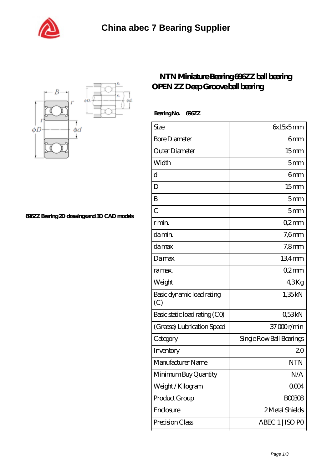



**[696ZZ Bearing 2D drawings and 3D CAD models](https://m.shawnwhisenant.com/pic-65269046.html)**

## **[NTN Miniature Bearing 696ZZ ball bearing](https://m.shawnwhisenant.com/ntn-6004lu-bearing/ntn-696zz.html) [OPEN ZZ Deep Groove ball bearing](https://m.shawnwhisenant.com/ntn-6004lu-bearing/ntn-696zz.html)**

 **Bearing No. 696ZZ**

| Size                             | 6x15x5mm                 |
|----------------------------------|--------------------------|
| <b>Bore Diameter</b>             | 6mm                      |
| Outer Diameter                   | 15 <sub>mm</sub>         |
| Width                            | 5 <sub>mm</sub>          |
| $\mathbf d$                      | 6mm                      |
| D                                | 15 <sub>mm</sub>         |
| B                                | 5mm                      |
| $\overline{C}$                   | 5mm                      |
| r min.                           | Q2mm                     |
| da min.                          | $7,6$ mm                 |
| damax                            | $7,8$ mm                 |
| Damax.                           | 134mm                    |
| ra max.                          | Q2mm                     |
| Weight                           | 43Kg                     |
| Basic dynamic load rating<br>(C) | 1,35kN                   |
| Basic static load rating (CO)    | Q53kN                    |
| (Grease) Lubrication Speed       | 37000r/min               |
| Category                         | Single Row Ball Bearings |
| Inventory                        | 20                       |
| Manufacturer Name                | <b>NTN</b>               |
| Minimum Buy Quantity             | N/A                      |
| Weight/Kilogram                  | 0004                     |
| Product Group                    | <b>BOO3O8</b>            |
| Enclosure                        | 2 Metal Shields          |
|                                  |                          |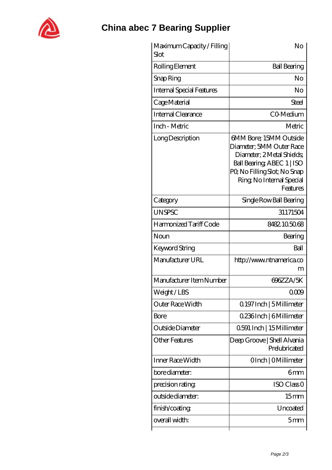

## **[China abec 7 Bearing Supplier](https://m.shawnwhisenant.com)**

| Maximum Capacity / Filling<br>Slot | No                                                                                                                                                                                    |
|------------------------------------|---------------------------------------------------------------------------------------------------------------------------------------------------------------------------------------|
| Rolling Element                    | <b>Ball Bearing</b>                                                                                                                                                                   |
| Snap Ring                          | No                                                                                                                                                                                    |
| <b>Internal Special Features</b>   | No                                                                                                                                                                                    |
| Cage Material                      | Steel                                                                                                                                                                                 |
| Internal Clearance                 | CO-Medium                                                                                                                                                                             |
| Inch - Metric                      | Metric                                                                                                                                                                                |
| Long Description                   | 6MM Bore; 15MM Outside<br>Diameter; 5MM Outer Race<br>Diameter: 2 Metal Shields<br>Ball Bearing, ABEC 1   ISO<br>PQ No Filling Slot; No Snap<br>Ring, No Internal Special<br>Features |
| Category                           | Single Row Ball Bearing                                                                                                                                                               |
| <b>UNSPSC</b>                      | 31171504                                                                                                                                                                              |
| Harmonized Tariff Code             | 8482105068                                                                                                                                                                            |
| Noun                               | Bearing                                                                                                                                                                               |
| Keyword String                     | Ball                                                                                                                                                                                  |
| Manufacturer URL                   | http://www.ntnamerica.co<br>m                                                                                                                                                         |
| Manufacturer Item Number           | 696ZZA/5K                                                                                                                                                                             |
| Weight/LBS                         | 00CA                                                                                                                                                                                  |
| Outer Race Width                   | 0.197 Inch   5 Millimeter                                                                                                                                                             |
| Bore                               | 0.236Inch   6Millimeter                                                                                                                                                               |
| Outside Diameter                   | 0591 Inch   15 Millimeter                                                                                                                                                             |
| Other Features                     | Deep Groove   Shell Alvania<br>Prelubricated                                                                                                                                          |
| Inner Race Width                   | OInch   OMillimeter                                                                                                                                                                   |
| bore diameter:                     | 6 <sub>mm</sub>                                                                                                                                                                       |
| precision rating                   | ISO Class <sub>O</sub>                                                                                                                                                                |
| outside diameter:                  | 15 <sub>mm</sub>                                                                                                                                                                      |
| finish/coating                     | Uncoated                                                                                                                                                                              |
| overall width:                     | 5 <sub>mm</sub>                                                                                                                                                                       |